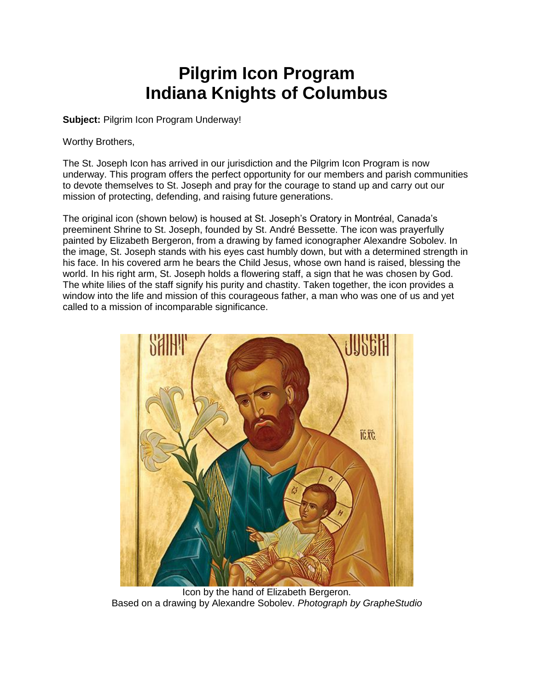## **Pilgrim Icon Program Indiana Knights of Columbus**

**Subject:** Pilgrim Icon Program Underway!

Worthy Brothers,

The St. Joseph Icon has arrived in our jurisdiction and the Pilgrim Icon Program is now underway. This program offers the perfect opportunity for our members and parish communities to devote themselves to St. Joseph and pray for the courage to stand up and carry out our mission of protecting, defending, and raising future generations.

The original icon (shown below) is housed at St. Joseph's Oratory in Montréal, Canada's preeminent Shrine to St. Joseph, founded by St. André Bessette. The icon was prayerfully painted by Elizabeth Bergeron, from a drawing by famed iconographer Alexandre Sobolev. In the image, St. Joseph stands with his eyes cast humbly down, but with a determined strength in his face. In his covered arm he bears the Child Jesus, whose own hand is raised, blessing the world. In his right arm, St. Joseph holds a flowering staff, a sign that he was chosen by God. The white lilies of the staff signify his purity and chastity. Taken together, the icon provides a window into the life and mission of this courageous father, a man who was one of us and yet called to a mission of incomparable significance.



Icon by the hand of Elizabeth Bergeron. Based on a drawing by Alexandre Sobolev. *Photograph by GrapheStudio*